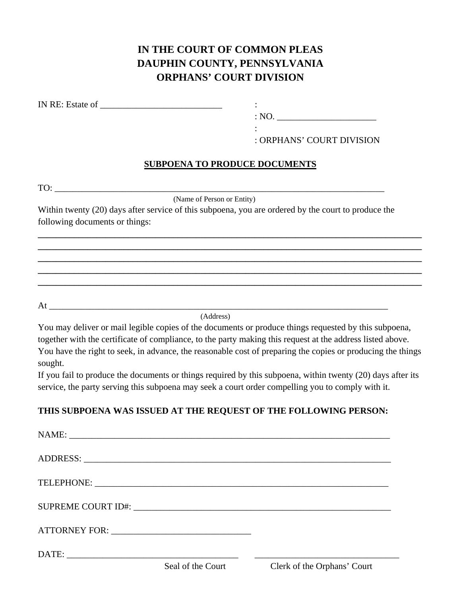## **IN THE COURT OF COMMON PLEAS DAUPHIN COUNTY, PENNSYLVANIA ORPHANS' COURT DIVISION**

IN RE: Estate of  $\cdot$ 

the contract of the contract of the contract of the contract of the contract of the contract of the contract of

 $: NO.$ 

: ORPHANS' COURT DIVISION

## **SUBPOENA TO PRODUCE DOCUMENTS**

**\_\_\_\_\_\_\_\_\_\_\_\_\_\_\_\_\_\_\_\_\_\_\_\_\_\_\_\_\_\_\_\_\_\_\_\_\_\_\_\_\_\_\_\_\_\_\_\_\_\_\_\_\_\_\_\_\_\_\_\_\_\_\_\_\_\_\_\_\_\_\_\_\_\_\_\_\_\_\_\_\_\_\_\_\_ \_\_\_\_\_\_\_\_\_\_\_\_\_\_\_\_\_\_\_\_\_\_\_\_\_\_\_\_\_\_\_\_\_\_\_\_\_\_\_\_\_\_\_\_\_\_\_\_\_\_\_\_\_\_\_\_\_\_\_\_\_\_\_\_\_\_\_\_\_\_\_\_\_\_\_\_\_\_\_\_\_\_\_\_\_ \_\_\_\_\_\_\_\_\_\_\_\_\_\_\_\_\_\_\_\_\_\_\_\_\_\_\_\_\_\_\_\_\_\_\_\_\_\_\_\_\_\_\_\_\_\_\_\_\_\_\_\_\_\_\_\_\_\_\_\_\_\_\_\_\_\_\_\_\_\_\_\_\_\_\_\_\_\_\_\_\_\_\_\_\_ \_\_\_\_\_\_\_\_\_\_\_\_\_\_\_\_\_\_\_\_\_\_\_\_\_\_\_\_\_\_\_\_\_\_\_\_\_\_\_\_\_\_\_\_\_\_\_\_\_\_\_\_\_\_\_\_\_\_\_\_\_\_\_\_\_\_\_\_\_\_\_\_\_\_\_\_\_\_\_\_\_\_\_\_\_ \_\_\_\_\_\_\_\_\_\_\_\_\_\_\_\_\_\_\_\_\_\_\_\_\_\_\_\_\_\_\_\_\_\_\_\_\_\_\_\_\_\_\_\_\_\_\_\_\_\_\_\_\_\_\_\_\_\_\_\_\_\_\_\_\_\_\_\_\_\_\_\_\_\_\_\_\_\_\_\_\_\_\_\_\_** 

TO:

(Name of Person or Entity)

Within twenty (20) days after service of this subpoena, you are ordered by the court to produce the following documents or things:

 $\mathop{\rm At}$ 

(Address)

You may deliver or mail legible copies of the documents or produce things requested by this subpoena, together with the certificate of compliance, to the party making this request at the address listed above. You have the right to seek, in advance, the reasonable cost of preparing the copies or producing the things sought.

If you fail to produce the documents or things required by this subpoena, within twenty (20) days after its service, the party serving this subpoena may seek a court order compelling you to comply with it.

## **THIS SUBPOENA WAS ISSUED AT THE REQUEST OF THE FOLLOWING PERSON:**